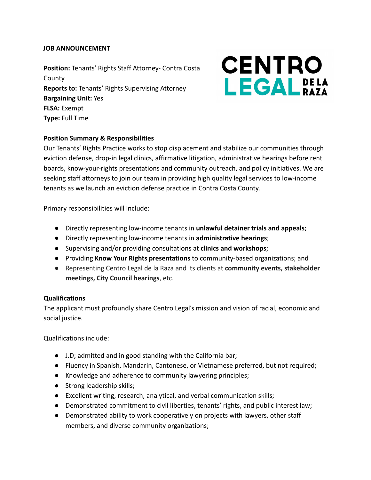#### **JOB ANNOUNCEMENT**

**Position:** Tenants' Rights Staff Attorney- Contra Costa County **Reports to:** Tenants' Rights Supervising Attorney **Bargaining Unit:** Yes **FLSA:** Exempt **Type:** Full Time

# **CENTRO LEGAL**<sub>RAZA</sub>

## **Position Summary & Responsibilities**

Our Tenants' Rights Practice works to stop displacement and stabilize our communities through eviction defense, drop-in legal clinics, affirmative litigation, administrative hearings before rent boards, know-your-rights presentations and community outreach, and policy initiatives. We are seeking staff attorneys to join our team in providing high quality legal services to low-income tenants as we launch an eviction defense practice in Contra Costa County.

Primary responsibilities will include:

- Directly representing low-income tenants in **unlawful detainer trials and appeals**;
- Directly representing low-income tenants in **administrative hearings**;
- Supervising and/or providing consultations at **clinics and workshops**;
- Providing **Know Your Rights presentations** to community-based organizations; and
- Representing Centro Legal de la Raza and its clients at **community events, stakeholder meetings, City Council hearings**, etc.

## **Qualifications**

The applicant must profoundly share Centro Legal's mission and vision of racial, economic and social justice.

Qualifications include:

- J.D; admitted and in good standing with the California bar;
- Fluency in Spanish, Mandarin, Cantonese, or Vietnamese preferred, but not required;
- Knowledge and adherence to community lawyering principles;
- Strong leadership skills;
- Excellent writing, research, analytical, and verbal communication skills;
- Demonstrated commitment to civil liberties, tenants' rights, and public interest law;
- Demonstrated ability to work cooperatively on projects with lawyers, other staff members, and diverse community organizations;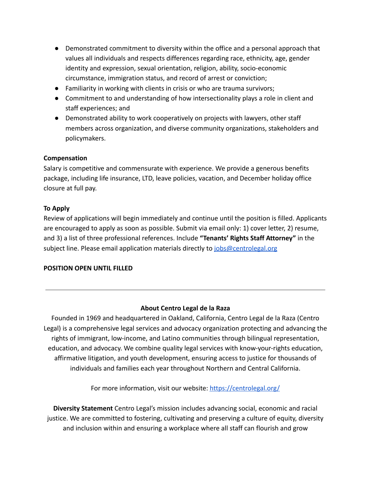- Demonstrated commitment to diversity within the office and a personal approach that values all individuals and respects differences regarding race, ethnicity, age, gender identity and expression, sexual orientation, religion, ability, socio-economic circumstance, immigration status, and record of arrest or conviction;
- Familiarity in working with clients in crisis or who are trauma survivors;
- Commitment to and understanding of how intersectionality plays a role in client and staff experiences; and
- Demonstrated ability to work cooperatively on projects with lawyers, other staff members across organization, and diverse community organizations, stakeholders and policymakers.

## **Compensation**

Salary is competitive and commensurate with experience. We provide a generous benefits package, including life insurance, LTD, leave policies, vacation, and December holiday office closure at full pay.

#### **To Apply**

Review of applications will begin immediately and continue until the position is filled. Applicants are encouraged to apply as soon as possible. Submit via email only: 1) cover letter, 2) resume, and 3) a list of three professional references. Include **"Tenants' Rights Staff Attorney"** in the subject line. Please email application materials directly to [jobs@centrolegal.org](mailto:jobs@centrolegal.org)

## **POSITION OPEN UNTIL FILLED**

## **About Centro Legal de la Raza**

Founded in 1969 and headquartered in Oakland, California, Centro Legal de la Raza (Centro Legal) is a comprehensive legal services and advocacy organization protecting and advancing the rights of immigrant, low-income, and Latino communities through bilingual representation, education, and advocacy. We combine quality legal services with know-your-rights education, affirmative litigation, and youth development, ensuring access to justice for thousands of individuals and families each year throughout Northern and Central California.

For more information, visit our website: <https://centrolegal.org/>

**Diversity Statement** Centro Legal's mission includes advancing social, economic and racial justice. We are committed to fostering, cultivating and preserving a culture of equity, diversity and inclusion within and ensuring a workplace where all staff can flourish and grow